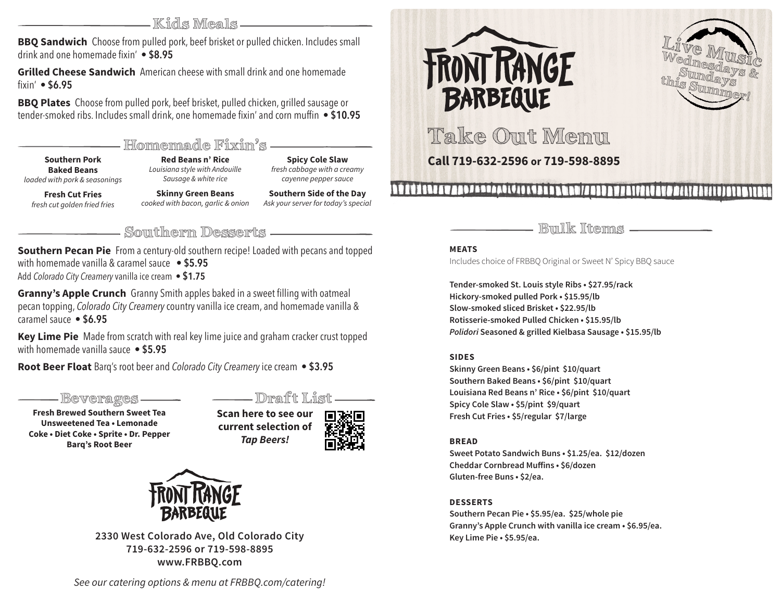**Kids Meals**

**BBQ Sandwich** Choose from pulled pork, beef brisket or pulled chicken. Includes small drink and one homemade fixin' **• \$8.95**

**Grilled Cheese Sandwich** American cheese with small drink and one homemade fixin' **• \$6.95**

**BBQ Plates** Choose from pulled pork, beef brisket, pulled chicken, grilled sausage or tender-smoked ribs. Includes small drink, one homemade fixin' and corn muffin **• \$10.95**

## **Homemade Fixin's**

**Southern Pork Baked Beans** *loaded with pork & seasonings*

**Red Beans n' Rice** *Louisiana style with Andouille Sausage & white rice*

**Spicy Cole Slaw** *fresh cabbage with a creamy cayenne pepper sauce*

**Fresh Cut Fries** *fresh cut golden fried fries*

**Skinny Green Beans** *cooked with bacon, garlic & onion* **Southern Side of the Day** *Ask your server for today's special*

**Southern Desserts Bulk Items**

**Southern Pecan Pie** From a century-old southern recipe! Loaded with pecans and topped with homemade vanilla & caramel sauce **• \$5.95** Add *Colorado City Creamery* vanilla ice cream **• \$1.75**

**Granny's Apple Crunch** Granny Smith apples baked in a sweet filling with oatmeal pecan topping, *Colorado City Creamery* country vanilla ice cream, and homemade vanilla & caramel sauce **• \$6.95**

**Key Lime Pie** Made from scratch with real key lime juice and graham cracker crust topped with homemade vanilla sauce **• \$5.95**

**Root Beer Float** Barq's root beer and *Colorado City Creamery* ice cream **• \$3.95**

**Beverages** —— Draft List

**Fresh Brewed Southern Sweet Tea Unsweetened Tea • Lemonade Coke • Diet Coke • Sprite • Dr. Pepper Barq's Root Beer**

**Scan here to see our current selection of**  *Tap Beers!*





**2330 West Colorado Ave, Old Colorado City 719-632-2596 or 719-598-8895 www.FRBBQ.com**





**Take Out Menu** 

## **Call 719-632-2596 or 719-598-8895**

## 

#### **MEATS**

Includes choice of FRBBQ Original or Sweet N' Spicy BBQ sauce

**Tender-smoked St. Louis style Ribs • \$27.95/rack Hickory-smoked pulled Pork • \$15.95/lb Slow-smoked sliced Brisket • \$22.95/lb Rotisserie-smoked Pulled Chicken • \$15.95/lb** *Polidori* **Seasoned & grilled Kielbasa Sausage • \$15.95/lb**

#### **SIDES**

**Skinny Green Beans • \$6/pint \$10/quart Southern Baked Beans • \$6/pint \$10/quart Louisiana Red Beans n' Rice • \$6/pint \$10/quart Spicy Cole Slaw • \$5/pint \$9/quart Fresh Cut Fries • \$5/regular \$7/large**

#### **BREAD**

**Sweet Potato Sandwich Buns • \$1.25/ea. \$12/dozen Cheddar Cornbread Muffins • \$6/dozen Gluten-free Buns • \$2/ea.**

#### **DESSERTS**

**Southern Pecan Pie • \$5.95/ea. \$25/whole pie Granny's Apple Crunch with vanilla ice cream • \$6.95/ea. Key Lime Pie • \$5.95/ea.**

*See our catering options & menu at FRBBQ.com/catering!*